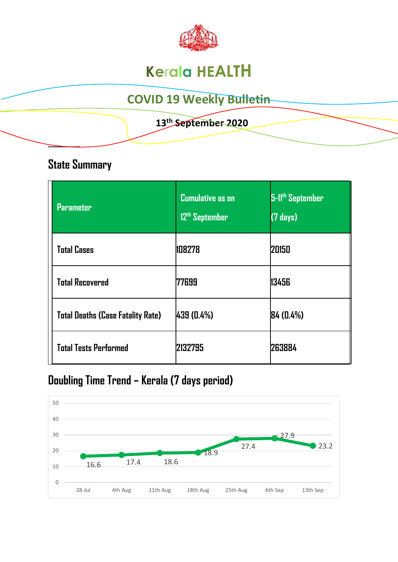

# **Kerala HEALTH**

# **COVID 19 Weekly Bulletin**

### **13th September 2020**

## **State Summary**

**\_\_\_\_\_\_\_\_** 

| <b>Parameter</b>                         | <b>Cumulative as on</b><br>12 <sup>th</sup> September | 5-11th September<br>$(7 \text{ days})$ |
|------------------------------------------|-------------------------------------------------------|----------------------------------------|
| <b>Total Cases</b>                       | 108278                                                | 20150                                  |
| <b>Total Recovered</b>                   | 77699                                                 | 13456                                  |
| <b>Total Deaths (Case Fatality Rate)</b> | 439 (0.4%)                                            | 84(0.4%)                               |
| <b>Total Tests Performed</b>             | 2132795                                               | 263884                                 |

# **Doubling Time Trend – Kerala (7 days period)**

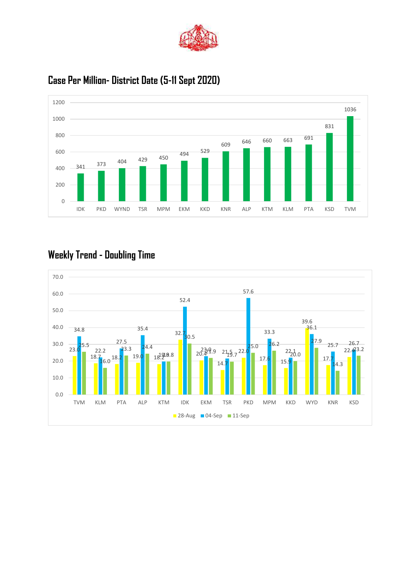



#### **Case Per Million- District Date (5-11 Sept 2020)**

### **Weekly Trend - Doubling Time**

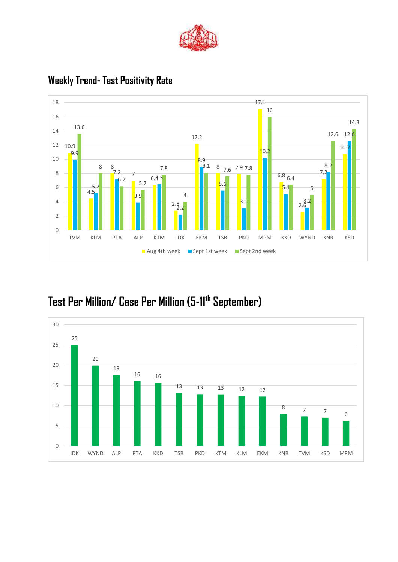



#### **Weekly Trend- Test Positivity Rate**

# **Test Per Million/ Case Per Million (5-11th September)**